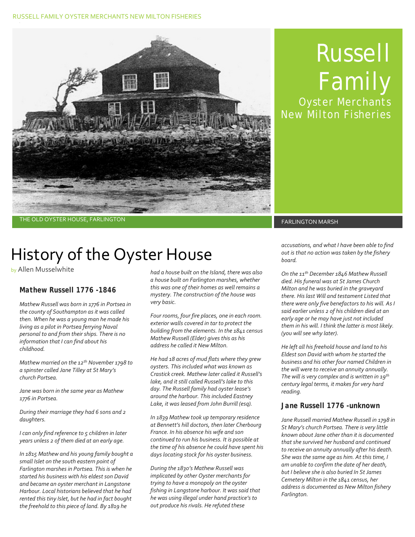#### RUSSELL FAMILY OYSTER MERCHANTS NEW MILTON FISHERIES



# Russell Family Oyster Merchants

New Milton Fisheries

THE OLD OYSTER HOUSE, FARLINGTON FARELINGTON FARLINGTON MARSH

# History of the Oyster House

by Allen Musselwhite

### *Mathew Russell 1776 -1846*

*Mathew Russell was born in 1776 in Portsea in the county of Southampton as it was called then. When he was a young man he made his living as a pilot in Portsea ferrying Naval personal to and from their ships. There is no information that I can find about his childhood.*

*Mathew married on the 12th November 1798 to a spinster called Jane Tilley at St Mary's church Portsea.* 

*Jane was born in the same year as Mathew 1776 in Portsea.*

*During their marriage they had 6 sons and 2 daughters.*

*I can only find reference to 5 children in later years unless 2 of them died at an early age.*

*In 1815 Mathew and his young family bought a small Islet on the south eastern point of Farlington marshes in Portsea. This is when he started his business with his eldest son David and became an oyster merchant in Langstone Harbour. Local historians believed that he had rented this tiny Islet, but he had in fact bought the freehold to this piece of land. By 1819 he* 

*had a house built on the Island, there was also a house built on Farlington marshes, whether this was one of their homes as well remains a mystery. The construction of the house was very basic.*

*Four rooms, four fire places, one in each room. exterior walls covered in tar to protect the building from the elements. In the 1841 census Mathew Russell (Elder) gives this as his address he called it New Milton.*

*He had 18 acres of mud flats where they grew oysters. This included what was known as Crastick creek. Mathew later called it Russell's lake, and it still called Russell's lake to this day. The Russell family had oyster lease's around the harbour. This included Eastney Lake, it was leased from John Burrill (esq).* 

*In 1839 Mathew took up temporary residence at Bennett's hill doctors, then later Cherbourg France. In his absence his wife and son continued to run his business. It is possible at the time of his absence he could have spent his days locating stock for his oyster business.*

*During the 1830's Mathew Russell was implicated by other Oyster merchants for trying to have a monopoly on the oyster fishing in Langstone harbour. It was said that he was using illegal under hand practice's to out produce his rivals. He refuted these* 

*accusations, and what I have been able to find out is that no action was taken by the fishery board.*

*On the 11th December 1846 Mathew Russell died. His funeral was at St James Church Milton and he was buried in the graveyard there. His last Will and testament Listed that there were only five benefactors to his will. As I said earlier unless 2 of his children died at an early age or he may have just not included them in his will. I think the latter is most likely. (you will see why later).*

*He left all his freehold house and land to his Eldest son David with whom he started the business and his other four named Children in the will were to receive an annuity annually. The will is very complex and is written in 19th century legal terms, it makes for very hard reading.*

### *Jane Russell 1776 -unknown*

*Jane Russell married Mathew Russell in 1798 in St Mary's church Portsea. There is very little known about Jane other than it is documented that she survived her husband and continued to receive an annuity annually after his death. She was the same age as him. At this time, I am unable to confirm the date of her death, but I believe she is also buried In St James Cemetery Milton in the 1841 census, her address is documented as New Milton fishery Farlington.*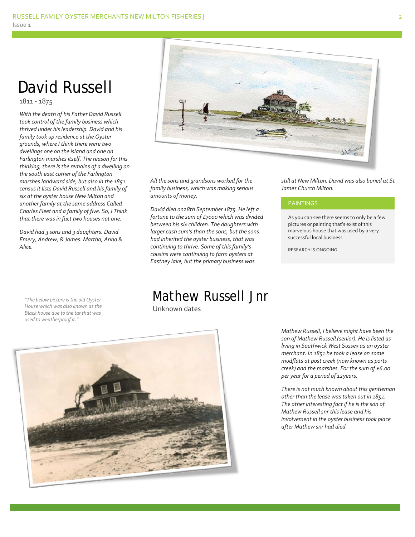## David Russell

1811 - 1875

*With the death of his Father David Russell took control of the family business which thrived under his leadership. David and his family took up residence at the Oyster grounds, where I think there were two dwellings one on the island and one on Farlington marshes itself. The reason for this thinking, there is the remains of a dwelling on the south east corner of the Farlington marshes landward side, but also in the 1851 census it lists David Russell and his family of six at the oyster house New Milton and another family at the same address Called Charles Fleet and a family of five. So, I Think that there was in fact two houses not one.*

*David had 3 sons and 3 daughters. David Emery, Andrew, & James. Martha, Anna & Alice.*



*All the sons and grandsons worked for the family business, which was making serious amounts of money.*

*David died on28th September 1875. He left a fortune to the sum of £7000 which was divided between his six children. The daughters with larger cash sum's than the sons, but the sons had inherited the oyster business, that was continuing to thrive. Some of this family's cousins were continuing to farm oysters at Eastney lake, but the primary business was* 

*still at New Milton. David was also buried at St James Church Milton.*

#### PAINTINGS

As you can see there seems to only be a few pictures or painting that's exist of this marvelous house that was used by a very successful local business

RESEARCH IS ONGOING.

*"The below picture is the old Oyster House which was also known as the Black house due to the tar that was used to weatherproof it."*

Mathew Russell Jnr

Unknown dates



*Mathew Russell, I believe might have been the son of Mathew Russell (senior). He is listed as living in Southwick West Sussex as an oyster merchant. In 1851 he took a lease on some mudflats at post creek (now known as ports creek) and the marshes. For the sum of £6.00 per year for a period of 12years.*

*There is not much known about this gentleman other than the lease was taken out in 1851. The other interesting fact if he is the son of Mathew Russell snr this lease and his involvement in the oyster business took place after Mathew snr had died.*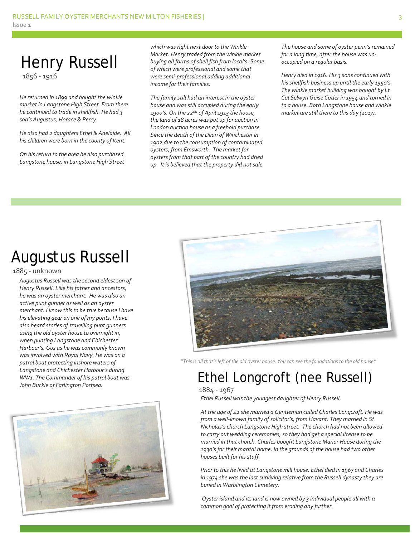## Henry Russell 1856 - 1916

*He returned in 1899 and bought the winkle market in Langstone High Street. From there he continued to trade in shellfish. He had 3 son's Augustus, Horace & Percy.*

*He also had 2 daughters Ethel & Adelaide. All his children were born in the county of Kent.* 

*On his return to the area he also purchased Langstone house, in Langstone High Street*  *which was right next door to the Winkle Market. Henry traded from the winkle market buying all forms of shell fish from local's. Some of which were professional and some that were semi-professional adding additional income for their families.*

*The family still had an interest in the oyster house and was still occupied during the early 1900's. On the 22nd of April 1913 the house, the land of 18 acres was put up for auction in London auction house as a freehold purchase. Since the death of the Dean of Winchester in 1902 due to the consumption of contaminated oysters, from Emsworth. The market for oysters from that part of the country had dried up. It is believed that the property did not sale.*  *The house and some of oyster penn's remained for a long time, after the house was unoccupied on a regular basis.*

*Henry died in 1916. His 3 sons continued with his shellfish business up until the early 1950's. The winkle market building was bought by Lt Col Selwyn Guise Cutler in 1954 and turned in to a house. Both Langstone house and winkle market are still there to this day (2017).*

# Augustus Russell

#### 1885 - unknown

*Augustus Russell was the second eldest son of Henry Russell. Like his father and ancestors, he was an oyster merchant. He was also an active punt gunner as well as an oyster merchant. I know this to be true because I have his elevating gear on one of my punts. I have also heard stories of travelling punt gunners using the old oyster house to overnight in, when punting Langstone and Chichester Harbour's. Gus as he was commonly known was involved with Royal Navy. He was on a patrol boat protecting inshore waters of Langstone and Chichester Harbour's during WW1. The Commander of his patrol boat was John Buckle of Farlington Portsea.*





*"This is all that's left of the old oyster house. You can see the foundations to the old house"*

## Ethel Longcroft (nee Russell) 1884 - 1967

*Ethel Russell was the youngest daughter of Henry Russell.*

*At the age of 42 she married a Gentleman called Charles Longcroft. He was from a well-known family of solicitor's, from Havant. They married in St Nicholas's church Langstone High street. The church had not been allowed to carry out wedding ceremonies, so they had get a special license to be married in that church. Charles bought Langstone Manor House during the 1930's for their marital home. In the grounds of the house had two other houses built for his staff.*

*Prior to this he lived at Langstone mill house. Ethel died in 1967 and Charles in 1974 she was the last surviving relative from the Russell dynasty they are buried in Warblington Cemetery.*

*Oyster island and its land is now owned by 3 individual people all with a common goal of protecting it from eroding any further.*